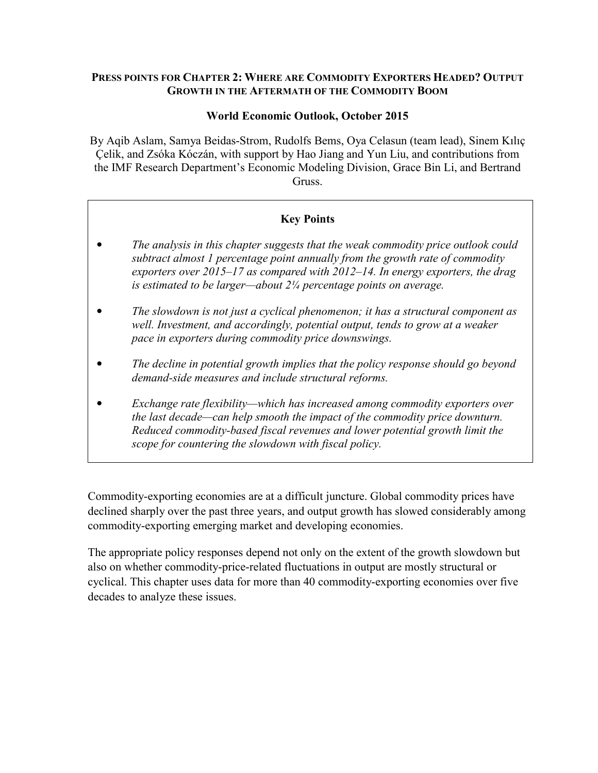### **PRESS POINTS FOR CHAPTER 2: WHERE ARE COMMODITY EXPORTERS HEADED? OUTPUT GROWTH IN THE AFTERMATH OF THE COMMODITY BOOM**

## **World Economic Outlook, October 2015**

By Aqib Aslam, Samya Beidas-Strom, Rudolfs Bems, Oya Celasun (team lead), Sinem Kılıç Çelik, and Zsóka Kóczán, with support by Hao Jiang and Yun Liu, and contributions from the IMF Research Department's Economic Modeling Division, Grace Bin Li, and Bertrand Gruss.

# **Key Points**

- *The analysis in this chapter suggests that the weak commodity price outlook could subtract almost 1 percentage point annually from the growth rate of commodity exporters over 2015–17 as compared with 2012–14. In energy exporters, the drag is estimated to be larger—about 2¼ percentage points on average.*
- *The slowdown is not just a cyclical phenomenon; it has a structural component as well. Investment, and accordingly, potential output, tends to grow at a weaker pace in exporters during commodity price downswings.*
- *The decline in potential growth implies that the policy response should go beyond demand-side measures and include structural reforms.*
- *Exchange rate flexibility—which has increased among commodity exporters over the last decade—can help smooth the impact of the commodity price downturn. Reduced commodity-based fiscal revenues and lower potential growth limit the scope for countering the slowdown with fiscal policy.*

Commodity-exporting economies are at a difficult juncture. Global commodity prices have declined sharply over the past three years, and output growth has slowed considerably among commodity-exporting emerging market and developing economies.

The appropriate policy responses depend not only on the extent of the growth slowdown but also on whether commodity-price-related fluctuations in output are mostly structural or cyclical. This chapter uses data for more than 40 commodity-exporting economies over five decades to analyze these issues.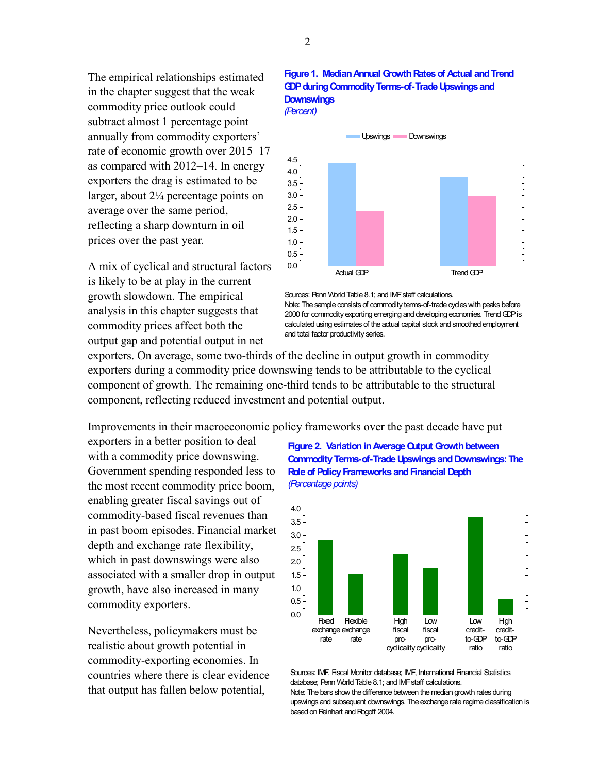The empirical relationships estimated in the chapter suggest that the weak commodity price outlook could subtract almost 1 percentage point annually from commodity exporters' rate of economic growth over 2015–17 as compared with 2012–14. In energy exporters the drag is estimated to be larger, about  $2\frac{1}{4}$  percentage points on average over the same period, reflecting a sharp downturn in oil prices over the past year.

A mix of cyclical and structural factors is likely to be at play in the current growth slowdown. The empirical analysis in this chapter suggests that commodity prices affect both the output gap and potential output in net

#### **Figure 1. Median Annual Growth Rates of Actual and Trend GDP during Commodity Terms-of-Trade Upswings and Downswings** *(Percent)*



Sources: Penn World Table 8.1; and IMF staff calculations. Note: The sample consists of commodity terms-of-trade cycles with peaks before 2000 for commodity exporting emerging and developing economies. Trend GDP is calculated using estimates of the actual capital stock and smoothed employment and total factor productivity series.

exporters. On average, some two-thirds of the decline in output growth in commodity exporters during a commodity price downswing tends to be attributable to the cyclical component of growth. The remaining one-third tends to be attributable to the structural component, reflecting reduced investment and potential output.

Improvements in their macroeconomic policy frameworks over the past decade have put

exporters in a better position to deal with a commodity price downswing. Government spending responded less to the most recent commodity price boom, enabling greater fiscal savings out of commodity-based fiscal revenues than in past boom episodes. Financial market depth and exchange rate flexibility, which in past downswings were also associated with a smaller drop in output growth, have also increased in many commodity exporters.

Nevertheless, policymakers must be realistic about growth potential in commodity-exporting economies. In countries where there is clear evidence that output has fallen below potential,

#### **Figure 2. Variation in Average Output Growth between Commodity Terms-of-Trade Upswings and Downswings: The Role of Policy Frameworks and Financial Depth** *(Percentage points)*



Sources: IMF, Fiscal Monitor database; IMF, International Financial Statistics database; Penn World Table 8.1; and IMF staff calculations. Note: The bars show the difference between the median growth rates during upswings and subsequent downswings. The exchange rate regime classification is based on Reinhart and Rogoff 2004.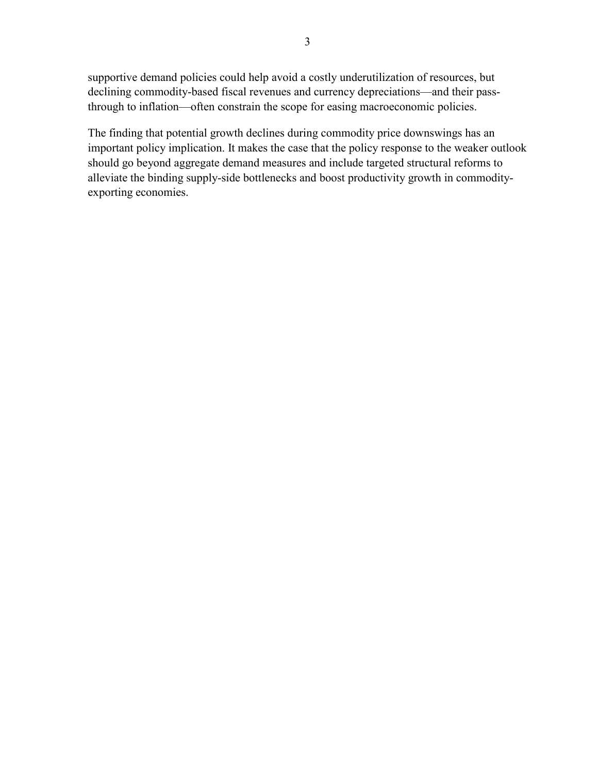supportive demand policies could help avoid a costly underutilization of resources, but declining commodity-based fiscal revenues and currency depreciations—and their passthrough to inflation—often constrain the scope for easing macroeconomic policies.

The finding that potential growth declines during commodity price downswings has an important policy implication. It makes the case that the policy response to the weaker outlook should go beyond aggregate demand measures and include targeted structural reforms to alleviate the binding supply-side bottlenecks and boost productivity growth in commodityexporting economies.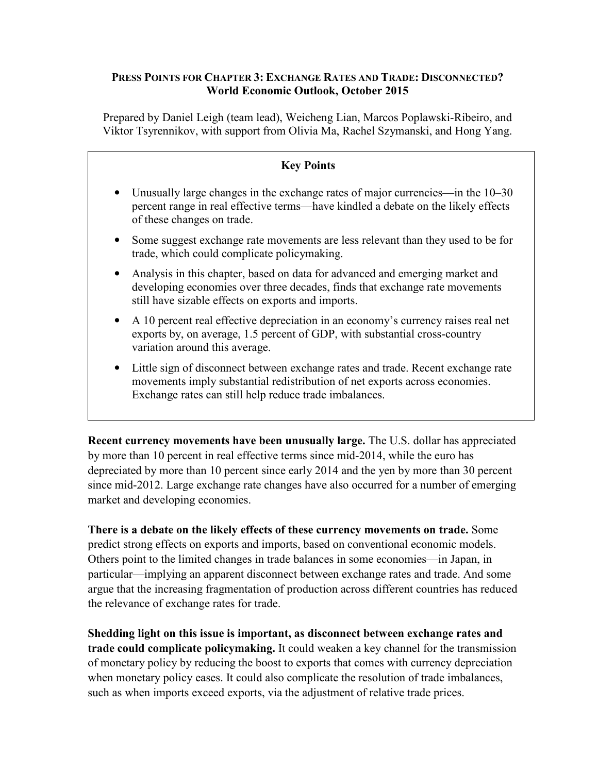## **PRESS POINTS FOR CHAPTER 3: EXCHANGE RATES AND TRADE: DISCONNECTED? World Economic Outlook, October 2015**

Prepared by Daniel Leigh (team lead), Weicheng Lian, Marcos Poplawski-Ribeiro, and Viktor Tsyrennikov, with support from Olivia Ma, Rachel Szymanski, and Hong Yang.

# **Key Points**  Unusually large changes in the exchange rates of major currencies—in the 10–30 percent range in real effective terms—have kindled a debate on the likely effects of these changes on trade. • Some suggest exchange rate movements are less relevant than they used to be for trade, which could complicate policymaking. • Analysis in this chapter, based on data for advanced and emerging market and developing economies over three decades, finds that exchange rate movements still have sizable effects on exports and imports. • A 10 percent real effective depreciation in an economy's currency raises real net exports by, on average, 1.5 percent of GDP, with substantial cross-country variation around this average. • Little sign of disconnect between exchange rates and trade. Recent exchange rate movements imply substantial redistribution of net exports across economies. Exchange rates can still help reduce trade imbalances.

**Recent currency movements have been unusually large.** The U.S. dollar has appreciated by more than 10 percent in real effective terms since mid-2014, while the euro has depreciated by more than 10 percent since early 2014 and the yen by more than 30 percent since mid-2012. Large exchange rate changes have also occurred for a number of emerging market and developing economies.

**There is a debate on the likely effects of these currency movements on trade.** Some predict strong effects on exports and imports, based on conventional economic models. Others point to the limited changes in trade balances in some economies—in Japan, in particular—implying an apparent disconnect between exchange rates and trade. And some argue that the increasing fragmentation of production across different countries has reduced the relevance of exchange rates for trade.

**Shedding light on this issue is important, as disconnect between exchange rates and trade could complicate policymaking.** It could weaken a key channel for the transmission of monetary policy by reducing the boost to exports that comes with currency depreciation when monetary policy eases. It could also complicate the resolution of trade imbalances, such as when imports exceed exports, via the adjustment of relative trade prices.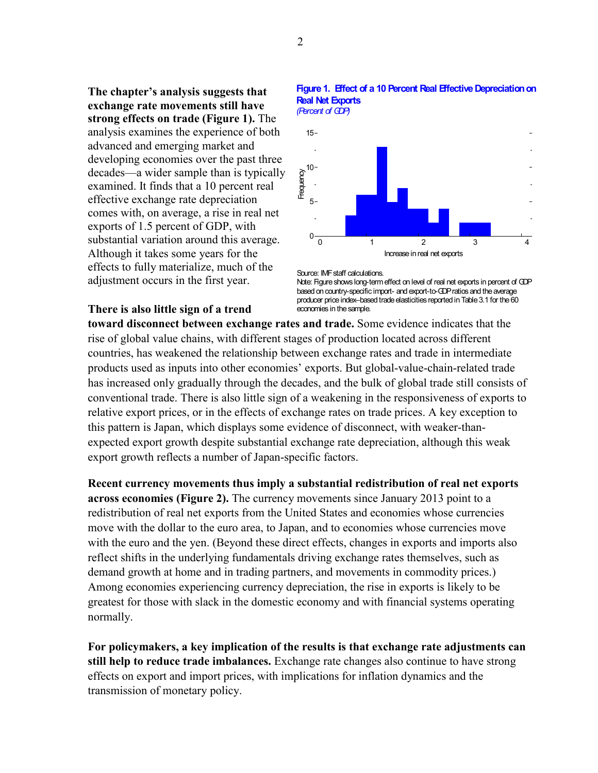**The chapter's analysis suggests that exchange rate movements still have strong effects on trade (Figure 1).** The analysis examines the experience of both advanced and emerging market and developing economies over the past three decades—a wider sample than is typically examined. It finds that a 10 percent real effective exchange rate depreciation comes with, on average, a rise in real net exports of 1.5 percent of GDP, with substantial variation around this average. Although it takes some years for the effects to fully materialize, much of the adjustment occurs in the first year.



#### **Figure 1. Effect of a 10 Percent Real Effective Depreciation on Real Net Exports**

Source: IMF staff calculations. Note: Figure shows long-term effect on level of real net exports in percent of GDP based on country-specific import- and export-to-GDP ratios and the average producer price index–based trade elasticities reported in Table 3.1 for the 60 economies in the sample.

# **There is also little sign of a trend**

**toward disconnect between exchange rates and trade.** Some evidence indicates that the rise of global value chains, with different stages of production located across different countries, has weakened the relationship between exchange rates and trade in intermediate products used as inputs into other economies' exports. But global-value-chain-related trade has increased only gradually through the decades, and the bulk of global trade still consists of conventional trade. There is also little sign of a weakening in the responsiveness of exports to relative export prices, or in the effects of exchange rates on trade prices. A key exception to this pattern is Japan, which displays some evidence of disconnect, with weaker-thanexpected export growth despite substantial exchange rate depreciation, although this weak export growth reflects a number of Japan-specific factors.

**Recent currency movements thus imply a substantial redistribution of real net exports across economies (Figure 2).** The currency movements since January 2013 point to a redistribution of real net exports from the United States and economies whose currencies move with the dollar to the euro area, to Japan, and to economies whose currencies move with the euro and the yen. (Beyond these direct effects, changes in exports and imports also reflect shifts in the underlying fundamentals driving exchange rates themselves, such as demand growth at home and in trading partners, and movements in commodity prices.) Among economies experiencing currency depreciation, the rise in exports is likely to be greatest for those with slack in the domestic economy and with financial systems operating normally.

**For policymakers, a key implication of the results is that exchange rate adjustments can still help to reduce trade imbalances.** Exchange rate changes also continue to have strong effects on export and import prices, with implications for inflation dynamics and the transmission of monetary policy.